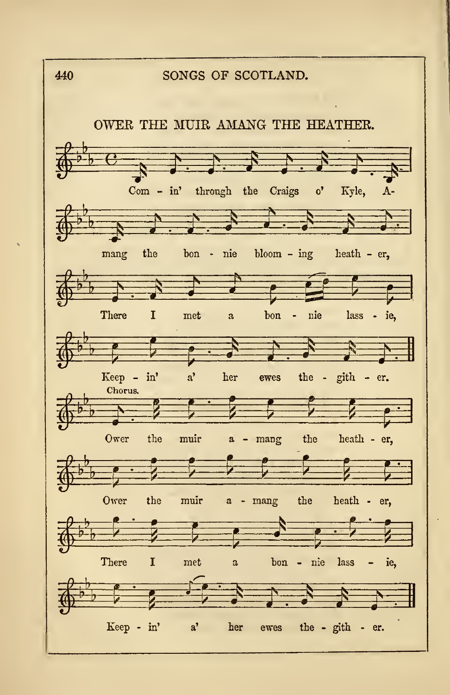